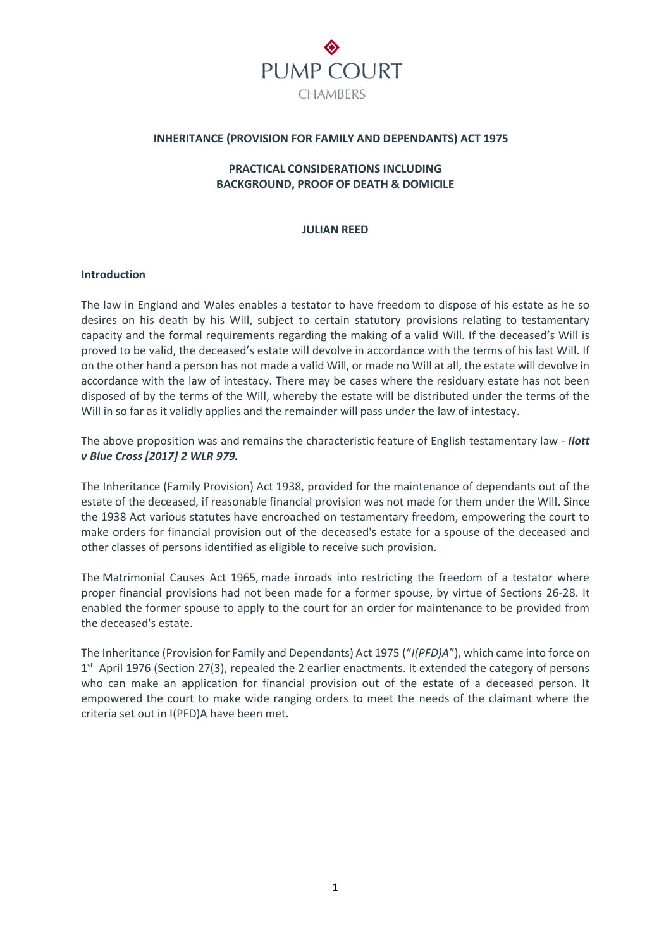

## **INHERITANCE (PROVISION FOR FAMILY AND DEPENDANTS) ACT 1975**

# **PRACTICAL CONSIDERATIONS INCLUDING BACKGROUND, PROOF OF DEATH & DOMICILE**

## **JULIAN REED**

#### **Introduction**

The law in England and Wales enables a testator to have freedom to dispose of his estate as he so desires on his death by his Will, subject to certain statutory provisions relating to testamentary capacity and the formal requirements regarding the making of a valid Will. If the deceased's Will is proved to be valid, the deceased's estate will devolve in accordance with the terms of his last Will. If on the other hand a person has not made a valid Will, or made no Will at all, the estate will devolve in accordance with the law of intestacy. There may be cases where the residuary estate has not been disposed of by the terms of the Will, whereby the estate will be distributed under the terms of the Will in so far as it validly applies and the remainder will pass under the law of intestacy.

The above proposition was and remains the characteristic feature of English testamentary law - *Ilott v Blue Cross [2017] 2 WLR 979.*

The Inheritance (Family Provision) Act 1938, provided for the maintenance of dependants out of the estate of the deceased, if reasonable financial provision was not made for them under the Will. Since the 1938 Act various statutes have encroached on testamentary freedom, empowering the court to make orders for financial provision out of the deceased's estate for a spouse of the deceased and other classes of persons identified as eligible to receive such provision.

The Matrimonial Causes Act 1965, made inroads into restricting the freedom of a testator where proper financial provisions had not been made for a former spouse, by virtue of Sections 26-28. It enabled the former spouse to apply to the court for an order for maintenance to be provided from the deceased's estate.

The Inheritance (Provision for Family and Dependants) Act 1975 ("*I(PFD)A*"), which came into force on 1<sup>st</sup> April 1976 (Section 27(3), repealed the 2 earlier enactments. It extended the category of persons who can make an application for financial provision out of the estate of a deceased person. It empowered the court to make wide ranging orders to meet the needs of the claimant where the criteria set out in I(PFD)A have been met.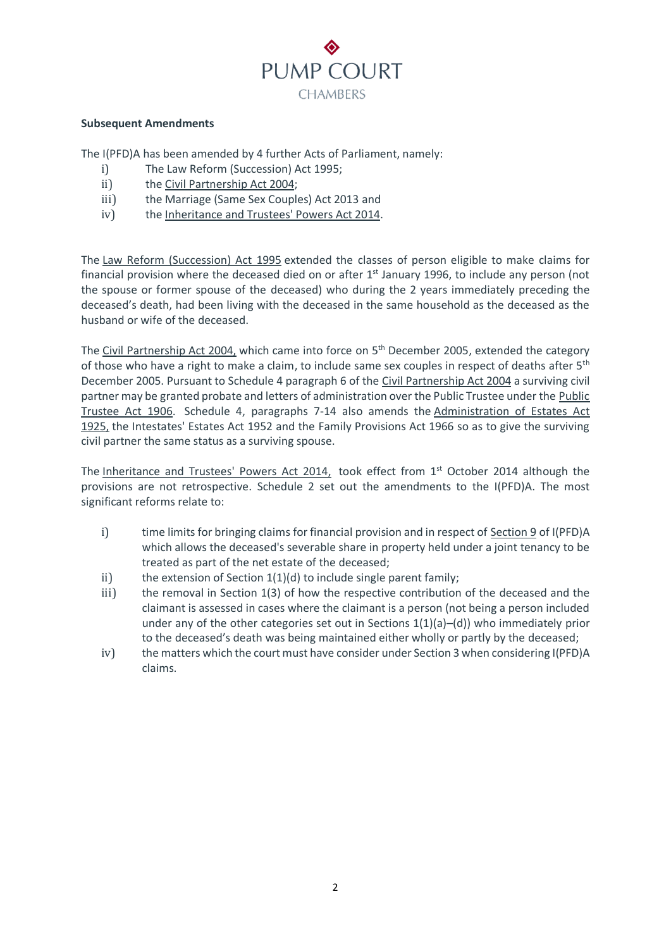

## **Subsequent Amendments**

The I(PFD)A has been amended by 4 further Acts of Parliament, namely:

- i) The Law Reform (Succession) Act 1995;
- ii) the Civil [Partnership](https://www.lexisnexis.com/uk/legal/search/enhRunRemoteLink.do?linkInfo=F%23GB%23UK_ACTS%23num%252004_33a_Title%25&A=0.5810151649695923&backKey=20_T28611075528&service=citation&ersKey=23_T28611072744&langcountry=GB) Act 2004;
- iii) the Marriage (Same Sex Couples) Act 2013 and
- iv) the [Inheritance](https://www.lexisnexis.com/uk/legal/search/enhRunRemoteLink.do?linkInfo=F%23GB%23UK_ACTS%23num%252014_16a_Title%25&A=0.4680183879282034&backKey=20_T28611075528&service=citation&ersKey=23_T28611072744&langcountry=GB) and Trustees' Powers Act 2014.

The Law Reform [\(Succession\)](https://www.lexisnexis.com/uk/legal/search/enhRunRemoteLink.do?linkInfo=F%23GB%23UK_ACTS%23num%251995_41a_Title%25&A=0.3611632888390236&backKey=20_T28611075528&service=citation&ersKey=23_T28611072744&langcountry=GB) Act 1995 extended the classes of person eligible to make claims for financial provision where the deceased died on or after  $1<sup>st</sup>$  January 1996, to include any person (not the spouse or former spouse of the deceased) who during the 2 years immediately preceding the deceased's death, had been living with the deceased in the same household as the deceased as the husband or wife of the deceased.

The Civil [Partnership](https://www.lexisnexis.com/uk/legal/search/enhRunRemoteLink.do?linkInfo=F%23GB%23UK_ACTS%23num%252004_33a_Title%25&A=0.5810151649695923&backKey=20_T28611075528&service=citation&ersKey=23_T28611072744&langcountry=GB) Act 200[4,](https://www.lexisnexis.com/uk/legal/search/enhRunRemoteLink.do?linkInfo=F%23GB%23UK_ACTS%23num%252004_33a_Title%25&A=0.5810151649695923&backKey=20_T28611075528&service=citation&ersKey=23_T28611072744&langcountry=GB) which came into force on 5<sup>th</sup> December 2005, extended the category of those who have a right to make a claim, to include same sex couples in respect of deaths after 5<sup>th</sup> December 2005. Pursuant to Schedule 4 paragraph 6 of the Civil [Partnership](https://www.lexisnexis.com/uk/legal/search/enhRunRemoteLink.do?linkInfo=F%23GB%23UK_ACTS%23num%252004_33a_Title%25&A=0.5810151649695923&backKey=20_T28611075528&service=citation&ersKey=23_T28611072744&langcountry=GB) Act 2004 a surviving civil partner may be granted probate and letters of administration over the Public Trustee under the [Public](https://www.lexisnexis.com/uk/legal/search/enhRunRemoteLink.do?linkInfo=F%23GB%23UK_ACTS%23num%251906_55a_Title%25&A=0.1760325886669194&backKey=20_T28611075528&service=citation&ersKey=23_T28611072744&langcountry=GB) [Trustee](https://www.lexisnexis.com/uk/legal/search/enhRunRemoteLink.do?linkInfo=F%23GB%23UK_ACTS%23num%251906_55a_Title%25&A=0.1760325886669194&backKey=20_T28611075528&service=citation&ersKey=23_T28611072744&langcountry=GB) Act 1906. Schedule 4, paragraphs 7-14 also amends the [Administration](https://www.lexisnexis.com/uk/legal/search/enhRunRemoteLink.do?linkInfo=F%23GB%23UK_ACTS%23num%251925_23a_Title%25&A=0.03977885183973118&backKey=20_T28611075528&service=citation&ersKey=23_T28611072744&langcountry=GB) of Estates Act [1925,](https://www.lexisnexis.com/uk/legal/search/enhRunRemoteLink.do?linkInfo=F%23GB%23UK_ACTS%23num%251925_23a_Title%25&A=0.03977885183973118&backKey=20_T28611075528&service=citation&ersKey=23_T28611072744&langcountry=GB) the Intestates' Estates Act 1952 and the Family Provisions Act 1966 so as to give the surviving civil partner the same status as a surviving spouse.

The [Inheritance](https://www.lexisnexis.com/uk/legal/search/enhRunRemoteLink.do?linkInfo=F%23GB%23UK_ACTS%23num%252014_16a_Title%25&A=0.20302453907924756&backKey=20_T28611075528&service=citation&ersKey=23_T28611072744&langcountry=GB) and Trustees' Powers Act 2014, took effect from 1st October 2014 although the provisions are not retrospective. Schedule 2 set out the amendments to the I(PFD)A. The most significant reforms relate to:

- i) time limits for bringing claims for financial provision and in respect of [Section](https://www.lexisnexis.com/uk/legal/search/enhRunRemoteLink.do?linkInfo=F%23GB%23UK_ACTS%23sect%259%25num%251975_63a%25section%259%25&A=0.43785174822043815&backKey=20_T28611075528&service=citation&ersKey=23_T28611072744&langcountry=GB) 9 of I(PFD)A which allows the deceased's severable share in property held under a joint tenancy to be treated as part of the net estate of the deceased;
- ii) the extension of Section  $1(1)(d)$  to include single parent family;
- iii) the removal in Section 1(3) of how the respective contribution of the deceased and the claimant is assessed in cases where the claimant is a person (not being a person included under any of the other categories set out in Sections  $1(1)(a)$ –(d)) who immediately prior to the deceased's death was being maintained either wholly or partly by the deceased;
- iv) the matters which the court must have consider under Section 3 when considering I(PFD)A claims.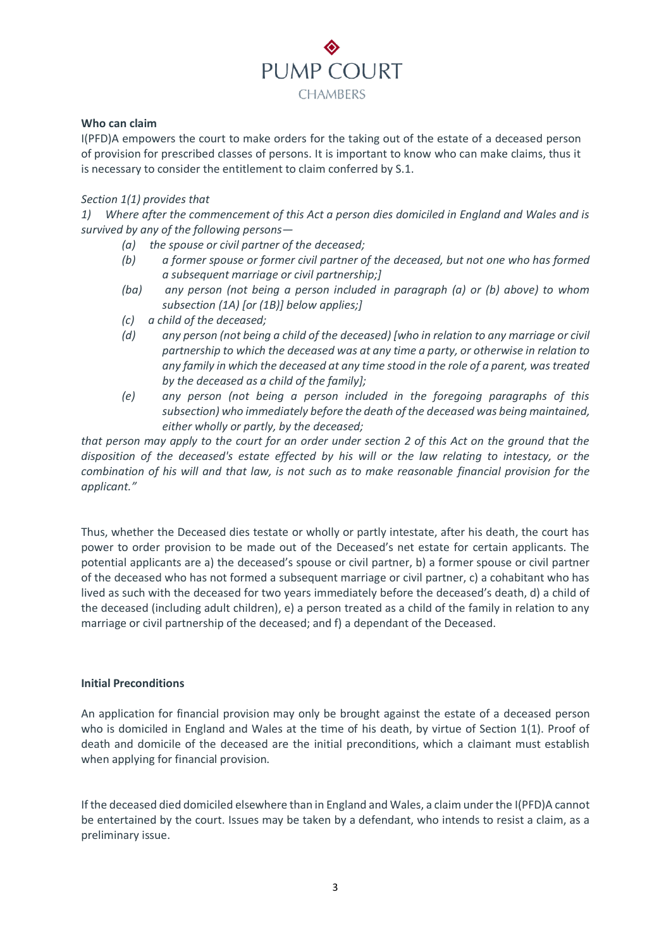

## **Who can claim**

I(PFD)A empowers the court to make orders for the taking out of the estate of a deceased person of provision for prescribed classes of persons. It is important to know who can make claims, thus it is necessary to consider the entitlement to claim conferred by S.1.

## *Section 1(1) provides that*

*1) Where after the commencement of this Act a person dies domiciled in England and Wales and is survived by any of the following persons—*

- *(a) the spouse or civil partner of the deceased;*
- *(b) a former spouse or former civil partner of the deceased, but not one who has formed a subsequent marriage or civil partnership;]*
- *(ba) any person (not being a person included in paragraph (a) or (b) above) to whom subsection (1A) [or (1B)] below applies;]*
- *(c) a child of the deceased;*
- *(d) any person (not being a child of the deceased) [who in relation to any marriage or civil partnership to which the deceased was at any time a party, or otherwise in relation to any family in which the deceased at any time stood in the role of a parent, was treated by the deceased as a child of the family];*
- *(e) any person (not being a person included in the foregoing paragraphs of this subsection) who immediately before the death of the deceased was being maintained, either wholly or partly, by the deceased;*

*that person may apply to the court for an order under section 2 of this Act on the ground that the disposition of the deceased's estate effected by his will or the law relating to intestacy, or the combination of his will and that law, is not such as to make reasonable financial provision for the applicant."*

Thus, whether the Deceased dies testate or wholly or partly intestate, after his death, the court has power to order provision to be made out of the Deceased's net estate for certain applicants. The potential applicants are a) the deceased's spouse or civil partner, b) a former spouse or civil partner of the deceased who has not formed a subsequent marriage or civil partner, c) a cohabitant who has lived as such with the deceased for two years immediately before the deceased's death, d) a child of the deceased (including adult children), e) a person treated as a child of the family in relation to any marriage or civil partnership of the deceased; and f) a dependant of the Deceased.

## **Initial Preconditions**

An application for financial provision may only be brought against the estate of a deceased person who is domiciled in England and Wales at the time of his death, by virtue of Section 1(1). Proof of death and domicile of the deceased are the initial preconditions, which a claimant must establish when applying for financial provision.

If the deceased died domiciled elsewhere than in England and Wales, a claim under the I(PFD)A cannot be entertained by the court. Issues may be taken by a defendant, who intends to resist a claim, as a preliminary issue.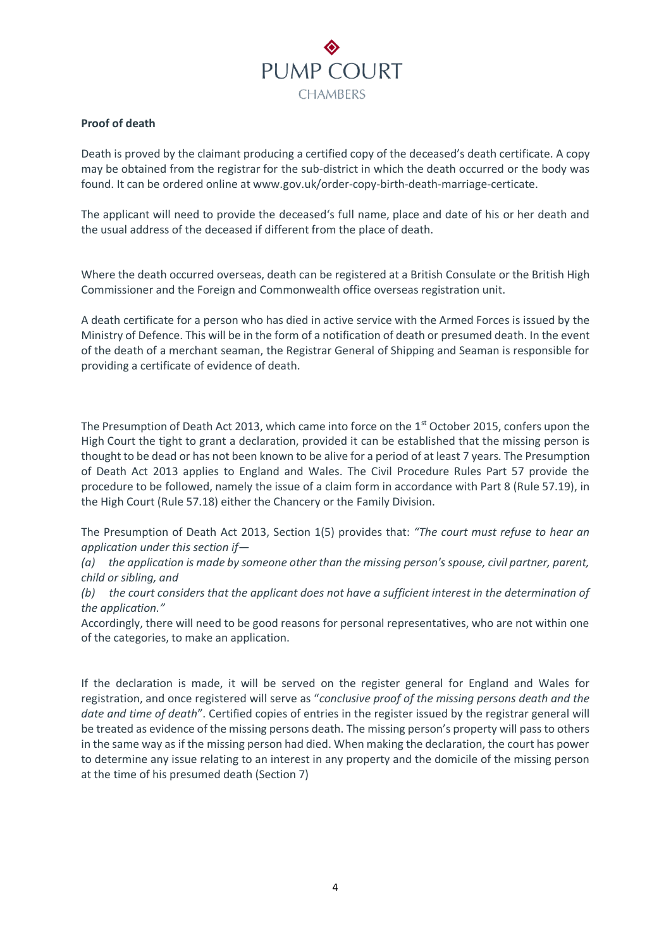

# **Proof of death**

Death is proved by the claimant producing a certified copy of the deceased's death certificate. A copy may be obtained from the registrar for the sub-district in which the death occurred or the body was found. It can be ordered online at www.gov.uk/order-copy-birth-death-marriage-certicate.

The applicant will need to provide the deceased's full name, place and date of his or her death and the usual address of the deceased if different from the place of death.

Where the death occurred overseas, death can be registered at a British Consulate or the British High Commissioner and the Foreign and Commonwealth office overseas registration unit.

A death certificate for a person who has died in active service with the Armed Forces is issued by the Ministry of Defence. This will be in the form of a notification of death or presumed death. In the event of the death of a merchant seaman, the Registrar General of Shipping and Seaman is responsible for providing a certificate of evidence of death.

The Presumption of Death Act 2013, which came into force on the  $1<sup>st</sup>$  October 2015, confers upon the High Court the tight to grant a declaration, provided it can be established that the missing person is thought to be dead or has not been known to be alive for a period of at least 7 years. The Presumption of Death Act 2013 applies to England and Wales. The Civil Procedure Rules Part 57 provide the procedure to be followed, namely the issue of a claim form in accordance with Part 8 (Rule 57.19), in the High Court (Rule 57.18) either the Chancery or the Family Division.

The Presumption of Death Act 2013, Section 1(5) provides that: *"The court must refuse to hear an application under this section if—*

*(a) the application is made by someone other than the missing person's spouse, civil partner, parent, child or sibling, and*

*(b) the court considers that the applicant does not have a sufficient interest in the determination of the application."*

Accordingly, there will need to be good reasons for personal representatives, who are not within one of the categories, to make an application.

If the declaration is made, it will be served on the register general for England and Wales for registration, and once registered will serve as "*conclusive proof of the missing persons death and the date and time of death*". Certified copies of entries in the register issued by the registrar general will be treated as evidence of the missing persons death. The missing person's property will pass to others in the same way as if the missing person had died. When making the declaration, the court has power to determine any issue relating to an interest in any property and the domicile of the missing person at the time of his presumed death (Section 7)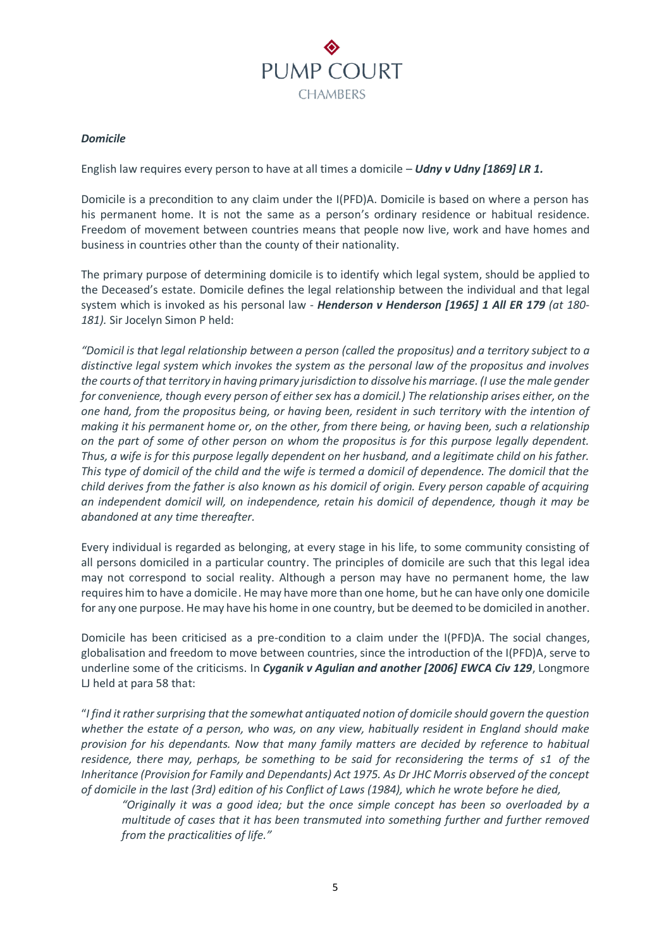

# *Domicile*

English law requires every person to have at all times a domicile – *Udny v Udny [1869] LR 1.*

Domicile is a precondition to any claim under the I(PFD)A. Domicile is based on where a person has his permanent home. It is not the same as a person's ordinary residence or habitual residence. Freedom of movement between countries means that people now live, work and have homes and business in countries other than the county of their nationality.

The primary purpose of determining domicile is to identify which legal system, should be applied to the Deceased's estate. Domicile defines the legal relationship between the individual and that legal system which is invoked as his personal law - *Henderson v Henderson [1965] 1 All ER 179 (at 180- 181).* Sir Jocelyn Simon P held:

*"Domicil is that legal relationship between a person (called the propositus) and a territory subject to a distinctive legal system which invokes the system as the personal law of the propositus and involves the courts of that territory in having primary jurisdiction to dissolve his marriage. (I use the male gender for convenience, though every person of either sex has a domicil.) The relationship arises either, on the one hand, from the propositus being, or having been, resident in such territory with the intention of making it his permanent home or, on the other, from there being, or having been, such a relationship on the part of some of other person on whom the propositus is for this purpose legally dependent. Thus, a wife is for this purpose legally dependent on her husband, and a legitimate child on his father. This type of domicil of the child and the wife is termed a domicil of dependence. The domicil that the child derives from the father is also known as his domicil of origin. Every person capable of acquiring an independent domicil will, on independence, retain his domicil of dependence, though it may be abandoned at any time thereafter.*

Every individual is regarded as belonging, at every stage in his life, to some community consisting of all persons domiciled in a particular country. The principles of domicile are such that this legal idea may not correspond to social reality. Although a person may have no permanent home, the law requires him to have a domicile. He may have more than one home, but he can have only one domicile for any one purpose. He may have his home in one country, but be deemed to be domiciled in another.

Domicile has been criticised as a pre-condition to a claim under the I(PFD)A. The social changes, globalisation and freedom to move between countries, since the introduction of the I(PFD)A, serve to underline some of the criticisms. In *Cyganik v Agulian and another [2006] EWCA Civ 129*, Longmore LJ held at para 58 that:

"*I find it rather surprising that the somewhat antiquated notion of domicile should govern the question whether the estate of a person, who was, on any view, habitually resident in England should make provision for his dependants. Now that many family matters are decided by reference to habitual residence, there may, perhaps, be something to be said for reconsidering the terms of s1 of the Inheritance (Provision for Family and Dependants) Act 1975. As Dr JHC Morris observed of the concept of domicile in the last (3rd) edition of his Conflict of Laws (1984), which he wrote before he died,*

*"Originally it was a good idea; but the once simple concept has been so overloaded by a multitude of cases that it has been transmuted into something further and further removed from the practicalities of life."*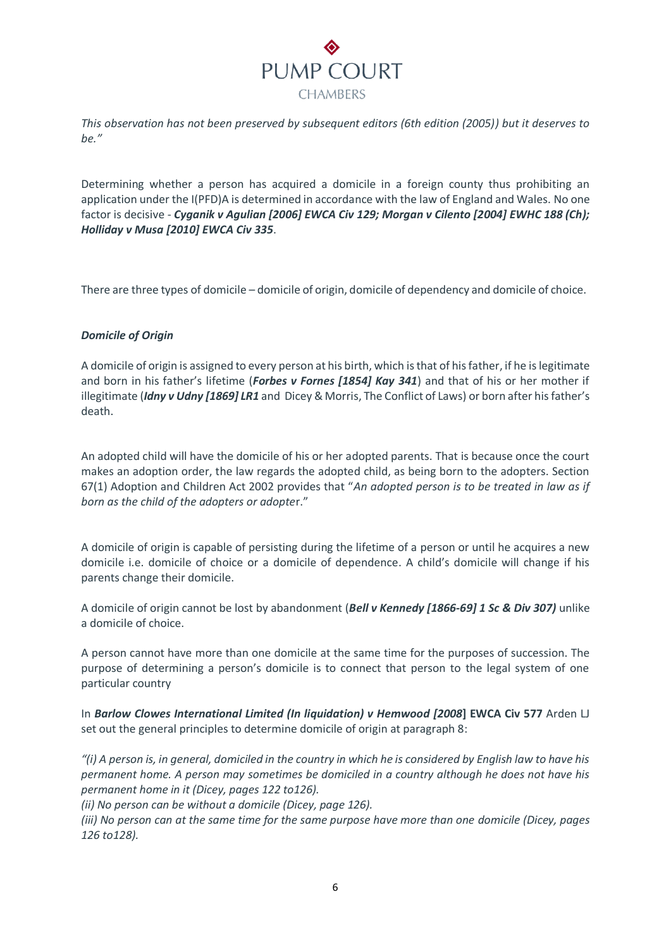

*This observation has not been preserved by subsequent editors (6th edition (2005)) but it deserves to be."*

Determining whether a person has acquired a domicile in a foreign county thus prohibiting an application under the I(PFD)A is determined in accordance with the law of England and Wales. No one factor is decisive - *Cyganik v Agulian [\[2006\] EWCA Civ 129;](https://www.lexisnexis.com/uk/legal/search/enhRunRemoteLink.do?linkInfo=F%23GB%23EWCACIV%23sel1%252006%25year%252006%25page%25129%25&A=0.8349600626794931&backKey=20_T28534634946&service=citation&ersKey=23_T28534632895&langcountry=GB) Morgan v Cilento [\[2004\] EWHC 188 \(Ch\);](https://www.lexisnexis.com/uk/legal/search/enhRunRemoteLink.do?linkInfo=F%23GB%23EWHCCH%23sel1%252004%25year%252004%25page%25188%25&A=0.9921923909758956&backKey=20_T28534634946&service=citation&ersKey=23_T28534632895&langcountry=GB) Holliday v Musa [\[2010\] EWCA Civ 335](https://www.lexisnexis.com/uk/legal/search/enhRunRemoteLink.do?linkInfo=F%23GB%23EWCACIV%23sel1%252010%25year%252010%25page%25335%25&A=0.14045988981331758&backKey=20_T28534634946&service=citation&ersKey=23_T28534632895&langcountry=GB)*.

There are three types of domicile – domicile of origin, domicile of dependency and domicile of choice.

## *Domicile of Origin*

A domicile of origin is assigned to every person at his birth, which is that of his father, if he is legitimate and born in his father's lifetime (*Forbes v Fornes [1854] Kay 341*) and that of his or her mother if illegitimate (*Idny v Udny [1869] LR1* and Dicey & Morris, The Conflict of Laws) or born after his father's death.

An adopted child will have the domicile of his or her adopted parents. That is because once the court makes an adoption order, the law regards the adopted child, as being born to the adopters. Section 67(1) Adoption and Children Act 2002 provides that "*An adopted person is to be treated in law as if born as the child of the adopters or adopte*r."

A domicile of origin is capable of persisting during the lifetime of a person or until he acquires a new domicile i.e. domicile of choice or a domicile of dependence. A child's domicile will change if his parents change their domicile.

A domicile of origin cannot be lost by abandonment (*Bell v Kennedy [1866-69] 1 Sc & Div 307)* unlike a domicile of choice.

A person cannot have more than one domicile at the same time for the purposes of succession. The purpose of determining a person's domicile is to connect that person to the legal system of one particular country

In *Barlow Clowes International Limited (In liquidation) v Hemwood [2008***] EWCA Civ 577** Arden LJ set out the general principles to determine domicile of origin at paragraph 8:

*"(i) A person is, in general, domiciled in the country in which he is considered by English law to have his permanent home. A person may sometimes be domiciled in a country although he does not have his permanent home in it (Dicey, pages 122 to126).*

*(ii) No person can be without a domicile (Dicey, page 126).*

*(iii) No person can at the same time for the same purpose have more than one domicile (Dicey, pages 126 to128).*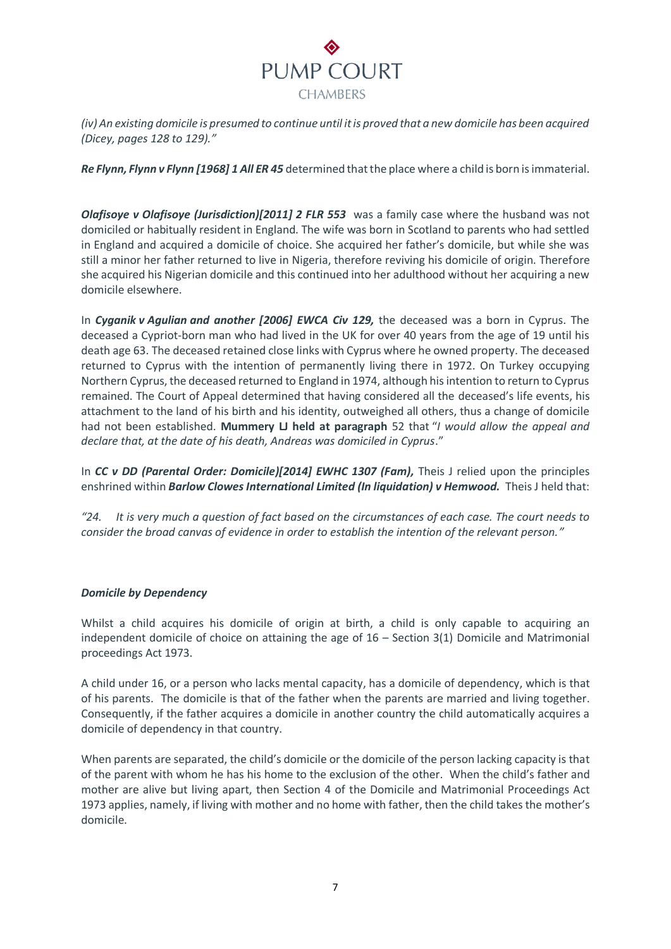

*(iv) An existing domicile is presumed to continue until it is proved that a new domicile has been acquired (Dicey, pages 128 to 129)."*

*Re Flynn, Flynn v Flynn [1968] 1 All ER 45* determined that the place where a child is born is immaterial.

*Olafisoye v Olafisoye (Jurisdiction)[2011] 2 FLR 553* was a family case where the husband was not domiciled or habitually resident in England. The wife was born in Scotland to parents who had settled in England and acquired a domicile of choice. She acquired her father's domicile, but while she was still a minor her father returned to live in Nigeria, therefore reviving his domicile of origin. Therefore she acquired his Nigerian domicile and this continued into her adulthood without her acquiring a new domicile elsewhere.

In *Cyganik v Agulian and another [2006] EWCA Civ 129,* the deceased was a born in Cyprus. The deceased a Cypriot-born man who had lived in the UK for over 40 years from the age of 19 until his death age 63. The deceased retained close links with Cyprus where he owned property. The deceased returned to Cyprus with the intention of permanently living there in 1972. On Turkey occupying Northern Cyprus, the deceased returned to England in 1974, although his intention to return to Cyprus remained. The Court of Appeal determined that having considered all the deceased's life events, his attachment to the land of his birth and his identity, outweighed all others, thus a change of domicile had not been established. **Mummery LJ held at paragraph** 52 that "*I would allow the appeal and declare that, at the date of his death, Andreas was domiciled in Cyprus*."

In *CC v DD (Parental Order: Domicile)[2014] EWHC 1307 (Fam),* Theis J relied upon the principles enshrined within *Barlow Clowes International Limited (In liquidation) v Hemwood.* Theis J held that:

*"24. It is very much a question of fact based on the circumstances of each case. The court needs to consider the broad canvas of evidence in order to establish the intention of the relevant person."*

## *Domicile by Dependency*

Whilst a child acquires his domicile of origin at birth, a child is only capable to acquiring an independent domicile of choice on attaining the age of 16 – Section 3(1) Domicile and Matrimonial proceedings Act 1973.

A child under 16, or a person who lacks mental capacity, has a domicile of dependency, which is that of his parents. The domicile is that of the father when the parents are married and living together. Consequently, if the father acquires a domicile in another country the child automatically acquires a domicile of dependency in that country.

When parents are separated, the child's domicile or the domicile of the person lacking capacity is that of the parent with whom he has his home to the exclusion of the other. When the child's father and mother are alive but living apart, then Section 4 of the Domicile and Matrimonial Proceedings Act 1973 applies, namely, if living with mother and no home with father, then the child takes the mother's domicile.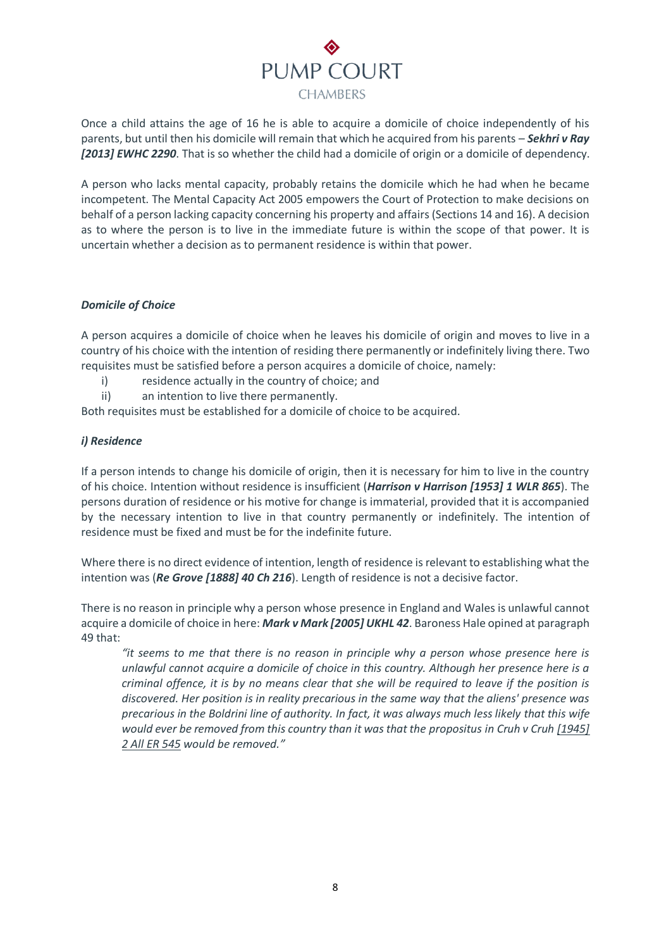

Once a child attains the age of 16 he is able to acquire a domicile of choice independently of his parents, but until then his domicile will remain that which he acquired from his parents – *Sekhri v Ray [2013] EWHC 2290*. That is so whether the child had a domicile of origin or a domicile of dependency.

A person who lacks mental capacity, probably retains the domicile which he had when he became incompetent. The Mental Capacity Act 2005 empowers the Court of Protection to make decisions on behalf of a person lacking capacity concerning his property and affairs (Sections 14 and 16). A decision as to where the person is to live in the immediate future is within the scope of that power. It is uncertain whether a decision as to permanent residence is within that power.

## *Domicile of Choice*

A person acquires a domicile of choice when he leaves his domicile of origin and moves to live in a country of his choice with the intention of residing there permanently or indefinitely living there. Two requisites must be satisfied before a person acquires a domicile of choice, namely:

- i) residence actually in the country of choice; and
- ii) an intention to live there permanently.

Both requisites must be established for a domicile of choice to be acquired.

# *i) Residence*

If a person intends to change his domicile of origin, then it is necessary for him to live in the country of his choice. Intention without residence is insufficient (*Harrison v Harrison [1953] 1 WLR 865*). The persons duration of residence or his motive for change is immaterial, provided that it is accompanied by the necessary intention to live in that country permanently or indefinitely. The intention of residence must be fixed and must be for the indefinite future.

Where there is no direct evidence of intention, length of residence is relevant to establishing what the intention was (*Re Grove [1888] 40 Ch 216*). Length of residence is not a decisive factor.

There is no reason in principle why a person whose presence in England and Wales is unlawful cannot acquire a domicile of choice in here: *Mark v Mark [\[2005\] UKHL 42](https://www.lexisnexis.com/uk/legal/search/enhRunRemoteLink.do?linkInfo=F%23GB%23UKHL%23sel1%252005%25year%252005%25page%2542%25&A=0.31858302493393664&backKey=20_T28534634946&service=citation&ersKey=23_T28534632895&langcountry=GB)*. Baroness Hale opined at paragraph 49 that:

*"it seems to me that there is no reason in principle why a person whose presence here is unlawful cannot acquire a domicile of choice in this country. Although her presence here is a criminal offence, it is by no means clear that she will be required to leave if the position is discovered. Her position is in reality precarious in the same way that the aliens' presence was precarious in the Boldrini line of authority. In fact, it was always much less likely that this wife would ever be removed from this country than it was that the propositus in Cruh v Cruh [\[1945\]](https://www.lexisnexis.com/uk/legal/search/enhRunRemoteLink.do?linkInfo=F%23GB%23ALLER%23sel1%251945%25vol%252%25year%251945%25page%25545%25sel2%252%25&A=0.381193721170477&backKey=20_T28611394397&service=citation&ersKey=23_T28611394384&langcountry=GB) 2 All ER [545](https://www.lexisnexis.com/uk/legal/search/enhRunRemoteLink.do?linkInfo=F%23GB%23ALLER%23sel1%251945%25vol%252%25year%251945%25page%25545%25sel2%252%25&A=0.381193721170477&backKey=20_T28611394397&service=citation&ersKey=23_T28611394384&langcountry=GB) would be removed."*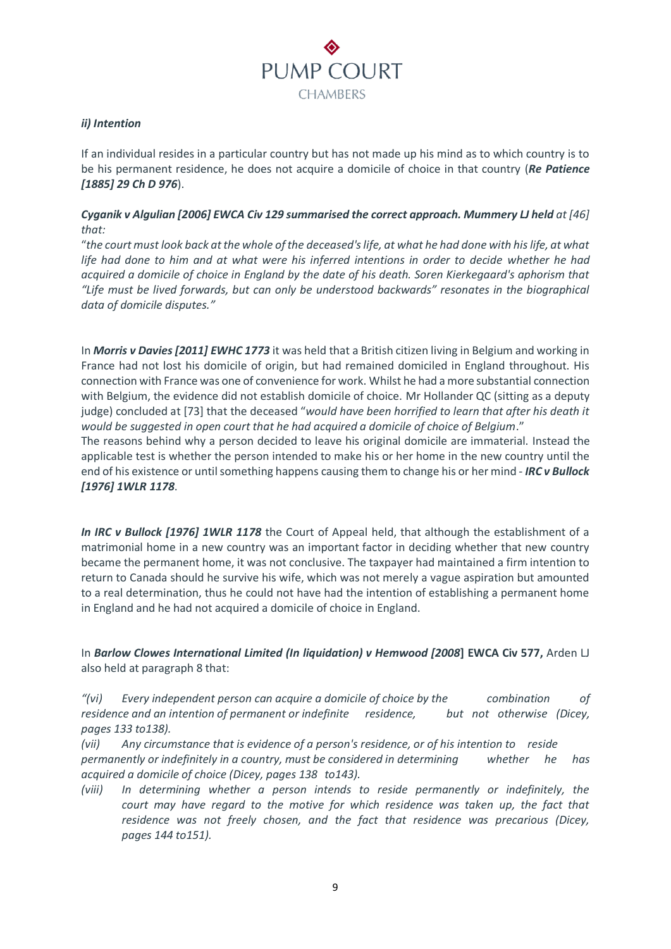

# *ii) Intention*

If an individual resides in a particular country but has not made up his mind as to which country is to be his permanent residence, he does not acquire a domicile of choice in that country (*Re Patience [1885] 29 Ch D 976*).

# *Cyganik v Algulian [2006] EWCA Civ 129 summarised the correct approach. Mummery LJ held at [46] that:*

"*the court must look back at the whole of the deceased's life, at what he had done with his life, at what life had done to him and at what were his inferred intentions in order to decide whether he had acquired a domicile of choice in England by the date of his death. Soren Kierkegaard's aphorism that "Life must be lived forwards, but can only be understood backwards" resonates in the biographical data of domicile disputes."*

In *Morris v Davies [2011] EWHC 1773* it was held that a British citizen living in Belgium and working in France had not lost his domicile of origin, but had remained domiciled in England throughout. His connection with France was one of convenience for work. Whilst he had a more substantial connection with Belgium, the evidence did not establish domicile of choice. Mr Hollander QC (sitting as a deputy judge) concluded at [73] that the deceased "*would have been horrified to learn that after his death it would be suggested in open court that he had acquired a domicile of choice of Belgium*."

The reasons behind why a person decided to leave his original domicile are immaterial. Instead the applicable test is whether the person intended to make his or her home in the new country until the end of his existence or until something happens causing them to change his or her mind - *IRC v Bullock [1976] 1WLR 1178*.

*In IRC v Bullock [1976] 1WLR 1178* the Court of Appeal held, that although the establishment of a matrimonial home in a new country was an important factor in deciding whether that new country became the permanent home, it was not conclusive. The taxpayer had maintained a firm intention to return to Canada should he survive his wife, which was not merely a vague aspiration but amounted to a real determination, thus he could not have had the intention of establishing a permanent home in England and he had not acquired a domicile of choice in England.

In *Barlow Clowes International Limited (In liquidation) v Hemwood [2008***] EWCA Civ 577,** Arden LJ also held at paragraph 8 that:

*"(vi) Every independent person can acquire a domicile of choice by the combination of residence and an intention of permanent or indefinite residence, but not otherwise (Dicey, pages 133 to138).*

*(vii) Any circumstance that is evidence of a person's residence, or of his intention to reside permanently or indefinitely in a country, must be considered in determining whether he has acquired a domicile of choice (Dicey, pages 138 to143).*

*(viii) In determining whether a person intends to reside permanently or indefinitely, the court may have regard to the motive for which residence was taken up, the fact that residence was not freely chosen, and the fact that residence was precarious (Dicey, pages 144 to151).*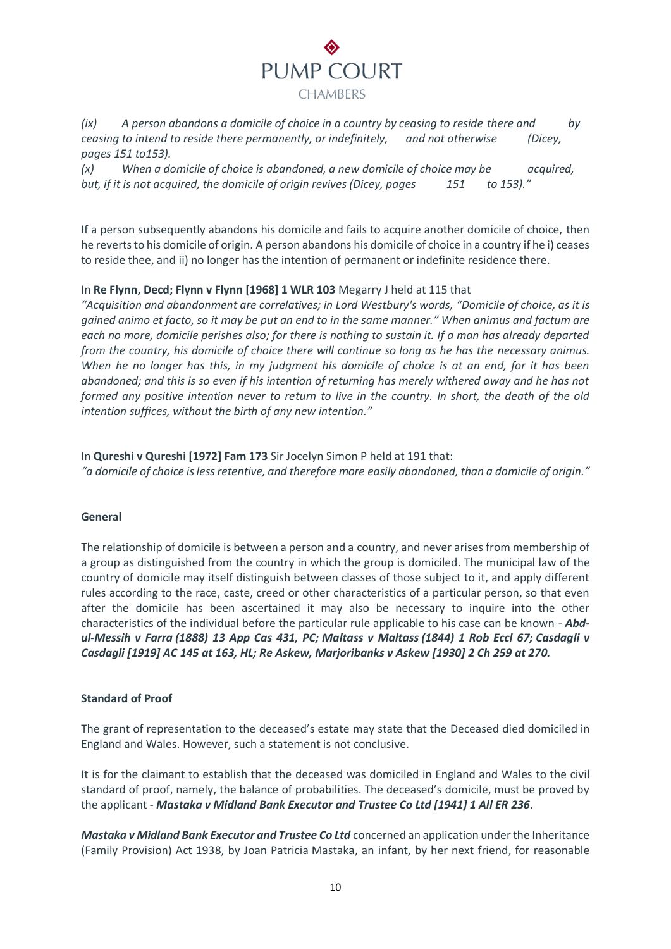

*(ix) A person abandons a domicile of choice in a country by ceasing to reside there and by ceasing to intend to reside there permanently, or indefinitely, and not otherwise (Dicey, pages 151 to153).*

*(x) When a domicile of choice is abandoned, a new domicile of choice may be acquired, but, if it is not acquired, the domicile of origin revives (Dicey, pages 151 to 153)."*

If a person subsequently abandons his domicile and fails to acquire another domicile of choice, then he reverts to his domicile of origin. A person abandons his domicile of choice in a country if he i) ceases to reside thee, and ii) no longer has the intention of permanent or indefinite residence there.

## In **Re Flynn, Decd; Flynn v Flynn [1968] 1 WLR 103** Megarry J held at 115 that

*"Acquisition and abandonment are correlatives; in Lord Westbury's words, "Domicile of choice, as it is gained animo et facto, so it may be put an end to in the same manner." When animus and factum are each no more, domicile perishes also; for there is nothing to sustain it. If a man has already departed from the country, his domicile of choice there will continue so long as he has the necessary animus. When he no longer has this, in my judgment his domicile of choice is at an end, for it has been abandoned; and this is so even if his intention of returning has merely withered away and he has not formed any positive intention never to return to live in the country. In short, the death of the old intention suffices, without the birth of any new intention."*

In **Qureshi v Qureshi [1972] Fam 173** Sir Jocelyn Simon P held at 191 that: *"a domicile of choice is less retentive, and therefore more easily abandoned, than a domicile of origin."*

## **General**

The relationship of domicile is between a person and a country, and never arises from membership of a group as distinguished from the country in which the group is domiciled. The municipal law of the country of domicile may itself distinguish between classes of those subject to it, and apply different rules according to the race, caste, creed or other characteristics of a particular person, so that even after the domicile has been ascertained it may also be necessary to inquire into the other characteristics of the individual before the particular rule applicable to his case can be known - *Abdul-Messih v Farra (1888) 13 App Cas 431, PC; Maltass v Maltass (1844) 1 Rob Eccl 67; Casdagli v Casdagli [\[1919\]](https://www.lexisnexis.com/uk/legal/search/enhRunRemoteLink.do?linkInfo=F%23GB%23AC%23sel1%251919%25tpage%25163%25year%251919%25page%25145%25&A=0.3031573782348702&backKey=20_T28534647459&service=citation&ersKey=23_T28534647452&langcountry=GB) AC 145 at 163, HL; Re Askew, Marjoribanks v Askew [\[1930\]](https://www.lexisnexis.com/uk/legal/search/enhRunRemoteLink.do?linkInfo=F%23GB%23CH%23sel1%251930%25vol%252%25tpage%25270%25year%251930%25page%25259%25sel2%252%25&A=0.49065891387432925&backKey=20_T28534647459&service=citation&ersKey=23_T28534647452&langcountry=GB) 2 Ch 259 at 270.*

## **Standard of Proof**

The grant of representation to the deceased's estate may state that the Deceased died domiciled in England and Wales. However, such a statement is not conclusive.

It is for the claimant to establish that the deceased was domiciled in England and Wales to the civil standard of proof, namely, the balance of probabilities. The deceased's domicile, must be proved by the applicant - *Mastaka v Midland Bank Executor and Trustee Co Ltd [\[1941\] 1 All ER 236](https://www.lexisnexis.com/uk/legal/search/enhRunRemoteLink.do?linkInfo=F%23GB%23ALLER%23sel1%251941%25vol%251%25year%251941%25page%25236%25sel2%251%25&A=0.4759005791554187&backKey=20_T28534634946&service=citation&ersKey=23_T28534632895&langcountry=GB)*.

*Mastaka v Midland Bank Executor and Trustee Co Ltd* concerned an application under the Inheritance (Family Provision) Act 1938, by Joan Patricia Mastaka, an infant, by her next friend, for reasonable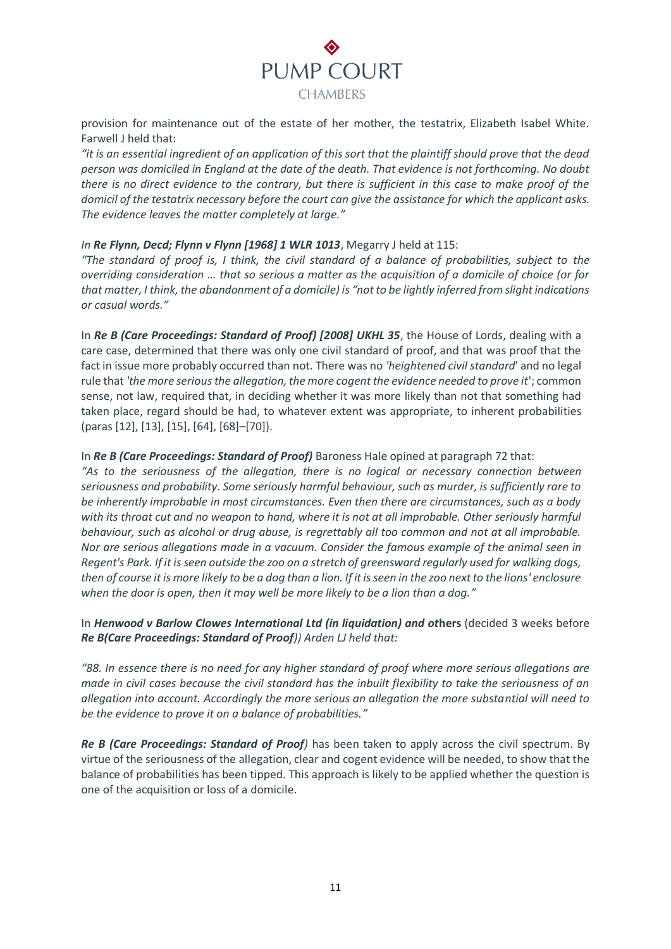

provision for maintenance out of the estate of her mother, the testatrix, Elizabeth Isabel White. Farwell J held that:

*"it is an essential ingredient of an application of this sort that the plaintiff should prove that the dead person was domiciled in England at the date of the death. That evidence is not forthcoming. No doubt there is no direct evidence to the contrary, but there is sufficient in this case to make proof of the domicil of the testatrix necessary before the court can give the assistance for which the applicant asks. The evidence leaves the matter completely at large."*

## *In Re Flynn, Decd; Flynn v Flynn [1968] 1 WLR 1013*, Megarry J held at 115:

"The standard of proof is, I think, the civil standard of a balance of probabilities, subject to the *overriding consideration … that so serious a matter as the acquisition of a domicile of choice (or for that matter, I think, the abandonment of a domicile) is "not to be lightly inferred from slight indications or casual words."*

In *Re B (Care Proceedings: Standard of Proof) [2008] UKHL 35*, the House of Lords, dealing with a care case, determined that there was only one civil standard of proof, and that was proof that the fact in issue more probably occurred than not. There was no *'heightened civil standard*' and no legal rule that *'the more serious the allegation, the more cogent the evidence needed to prove it*'; common sense, not law, required that, in deciding whether it was more likely than not that something had taken place, regard should be had, to whatever extent was appropriate, to inherent probabilities (paras [12], [13], [15], [64], [68]–[70]).

## In *Re B (Care Proceedings: Standard of Proof)* Baroness Hale opined at paragraph 72 that:

*"As to the seriousness of the allegation, there is no logical or necessary connection between seriousness and probability. Some seriously harmful behaviour, such as murder, is sufficiently rare to be inherently improbable in most circumstances. Even then there are circumstances, such as a body with its throat cut and no weapon to hand, where it is not at all improbable. Other seriously harmful behaviour, such as alcohol or drug abuse, is regrettably all too common and not at all improbable. Nor are serious allegations made in a vacuum. Consider the famous example of the animal seen in Regent's Park. If it is seen outside the zoo on a stretch of greensward regularly used for walking dogs, then of course it is more likely to be a dog than a lion. If it is seen in the zoo next to the lions' enclosure when the door is open, then it may well be more likely to be a lion than a dog."*

In *Henwood v Barlow Clowes International Ltd (in liquidation) and ot***hers** (decided 3 weeks before *Re B(Care Proceedings: Standard of Proof)) Arden LJ held that:*

*"88. In essence there is no need for any higher standard of proof where more serious allegations are made in civil cases because the civil standard has the inbuilt flexibility to take the seriousness of an allegation into account. Accordingly the more serious an allegation the more substantial will need to be the evidence to prove it on a balance of probabilities."*

*Re B (Care Proceedings: Standard of Proof)* has been taken to apply across the civil spectrum. By virtue of the seriousness of the allegation, clear and cogent evidence will be needed, to show that the balance of probabilities has been tipped. This approach is likely to be applied whether the question is one of the acquisition or loss of a domicile.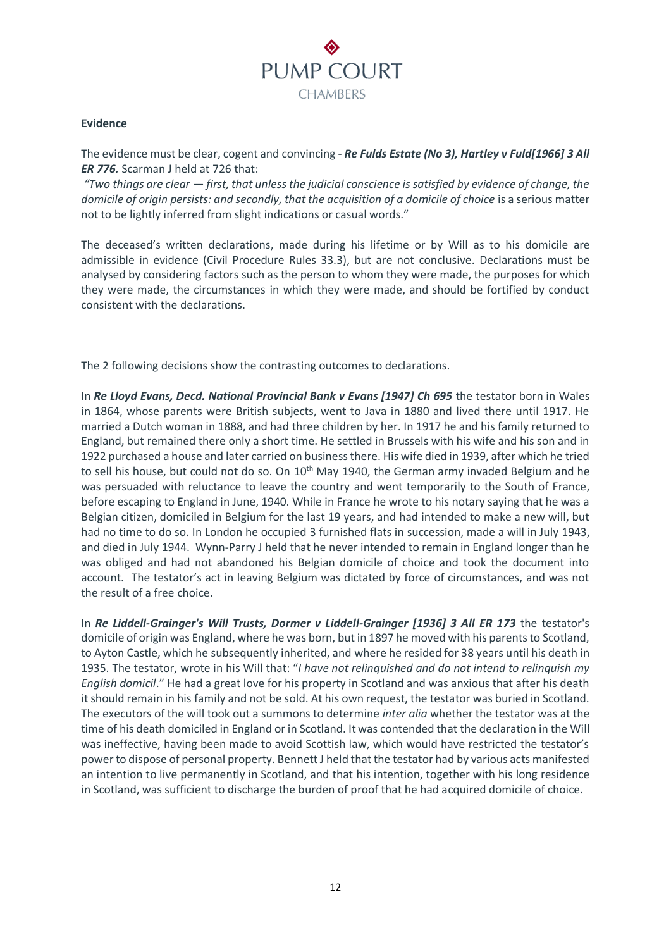

## **Evidence**

The evidence must be clear, cogent and convincing - *Re Fulds Estate (No 3), Hartley v Fuld[1966] 3 All ER 776.* Scarman J held at 726 that:

*"Two things are clear — first, that unless the judicial conscience is satisfied by evidence of change, the domicile of origin persists: and secondly, that the acquisition of a domicile of choice is a serious matter* not to be lightly inferred from slight indications or casual words."

The deceased's written declarations, made during his lifetime or by Will as to his domicile are admissible in evidence (Civil Procedure Rules 33.3), but are not conclusive. Declarations must be analysed by considering factors such as the person to whom they were made, the purposes for which they were made, the circumstances in which they were made, and should be fortified by conduct consistent with the declarations.

The 2 following decisions show the contrasting outcomes to declarations.

In *Re Lloyd Evans, Decd. National Provincial Bank v Evans [1947] Ch 695* the testator born in Wales in 1864, whose parents were British subjects, went to Java in 1880 and lived there until 1917. He married a Dutch woman in 1888, and had three children by her. In 1917 he and his family returned to England, but remained there only a short time. He settled in Brussels with his wife and his son and in 1922 purchased a house and later carried on business there. His wife died in 1939, after which he tried to sell his house, but could not do so. On 10<sup>th</sup> May 1940, the German army invaded Belgium and he was persuaded with reluctance to leave the country and went temporarily to the South of France, before escaping to England in June, 1940. While in France he wrote to his notary saying that he was a Belgian citizen, domiciled in Belgium for the last 19 years, and had intended to make a new will, but had no time to do so. In London he occupied 3 furnished flats in succession, made a will in July 1943, and died in July 1944. Wynn-Parry J held that he never intended to remain in England longer than he was obliged and had not abandoned his Belgian domicile of choice and took the document into account. The testator's act in leaving Belgium was dictated by force of circumstances, and was not the result of a free choice.

In *Re Liddell-Grainger's Will Trusts, Dormer v Liddell-Grainger [1936] 3 All ER 173* the testator's domicile of origin was England, where he was born, but in 1897 he moved with his parents to Scotland, to Ayton Castle, which he subsequently inherited, and where he resided for 38 years until his death in 1935. The testator, wrote in his Will that: "*I have not relinquished and do not intend to relinquish my English domicil*." He had a great love for his property in Scotland and was anxious that after his death it should remain in his family and not be sold. At his own request, the testator was buried in Scotland. The executors of the will took out a summons to determine *inter alia* whether the testator was at the time of his death domiciled in England or in Scotland. It was contended that the declaration in the Will was ineffective, having been made to avoid Scottish law, which would have restricted the testator's power to dispose of personal property. Bennett J held that the testator had by various acts manifested an intention to live permanently in Scotland, and that his intention, together with his long residence in Scotland, was sufficient to discharge the burden of proof that he had acquired domicile of choice.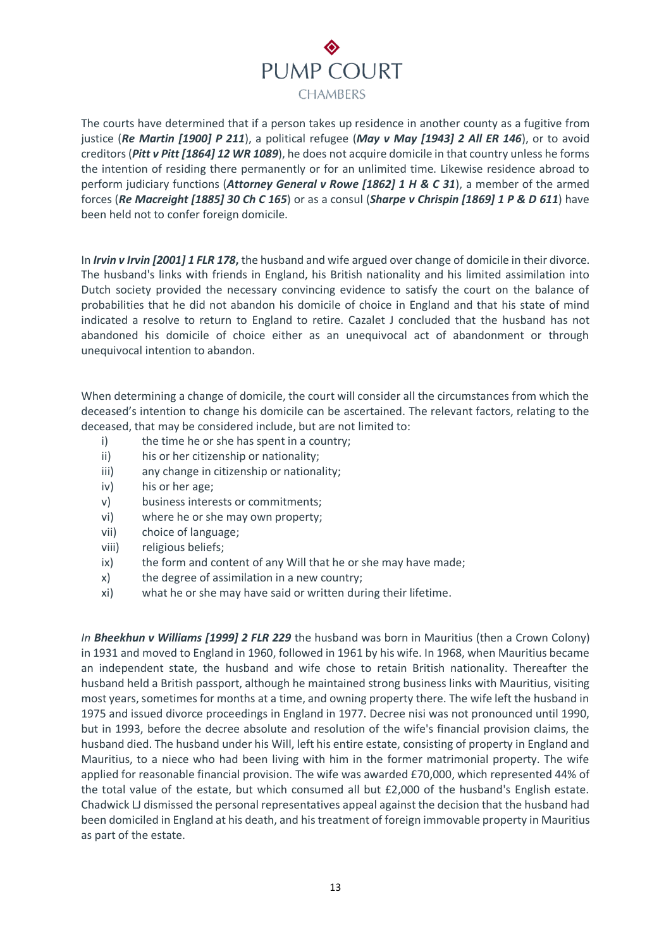# PUMP COURT **CHAMBERS**

The courts have determined that if a person takes up residence in another county as a fugitive from justice (*Re Martin [1900] P 211*), a political refugee (*May v May [1943] 2 All ER 146*), or to avoid creditors (*Pitt v Pitt [1864] 12 WR 1089*), he does not acquire domicile in that country unless he forms the intention of residing there permanently or for an unlimited time. Likewise residence abroad to perform judiciary functions (*Attorney General v Rowe [1862] 1 H & C 31*), a member of the armed forces (*Re Macreight [1885] 30 Ch C 165*) or as a consul (*Sharpe v Chrispin [1869] 1 P & D 611*) have been held not to confer foreign domicile.

In *Irvin v Irvin [2001] 1 FLR 178***,** the husband and wife argued over change of domicile in their divorce. The husband's links with friends in England, his British nationality and his limited assimilation into Dutch society provided the necessary convincing evidence to satisfy the court on the balance of probabilities that he did not abandon his domicile of choice in England and that his state of mind indicated a resolve to return to England to retire. Cazalet J concluded that the husband has not abandoned his domicile of choice either as an unequivocal act of abandonment or through unequivocal intention to abandon.

When determining a change of domicile, the court will consider all the circumstances from which the deceased's intention to change his domicile can be ascertained. The relevant factors, relating to the deceased, that may be considered include, but are not limited to:

- i) the time he or she has spent in a country;
- ii) his or her citizenship or nationality;
- iii) any change in citizenship or nationality;
- iv) his or her age;
- v) business interests or commitments;
- vi) where he or she may own property;
- vii) choice of language;
- viii) religious beliefs;
- ix) the form and content of any Will that he or she may have made;
- x) the degree of assimilation in a new country;
- xi) what he or she may have said or written during their lifetime.

*In Bheekhun v Williams [1999] 2 FLR 229* the husband was born in Mauritius (then a Crown Colony) in 1931 and moved to England in 1960, followed in 1961 by his wife. In 1968, when Mauritius became an independent state, the husband and wife chose to retain British nationality. Thereafter the husband held a British passport, although he maintained strong business links with Mauritius, visiting most years, sometimes for months at a time, and owning property there. The wife left the husband in 1975 and issued divorce proceedings in England in 1977. Decree nisi was not pronounced until 1990, but in 1993, before the decree absolute and resolution of the wife's financial provision claims, the husband died. The husband under his Will, left his entire estate, consisting of property in England and Mauritius, to a niece who had been living with him in the former matrimonial property. The wife applied for reasonable financial provision. The wife was awarded £70,000, which represented 44% of the total value of the estate, but which consumed all but £2,000 of the husband's English estate. Chadwick LJ dismissed the personal representatives appeal against the decision that the husband had been domiciled in England at his death, and his treatment of foreign immovable property in Mauritius as part of the estate.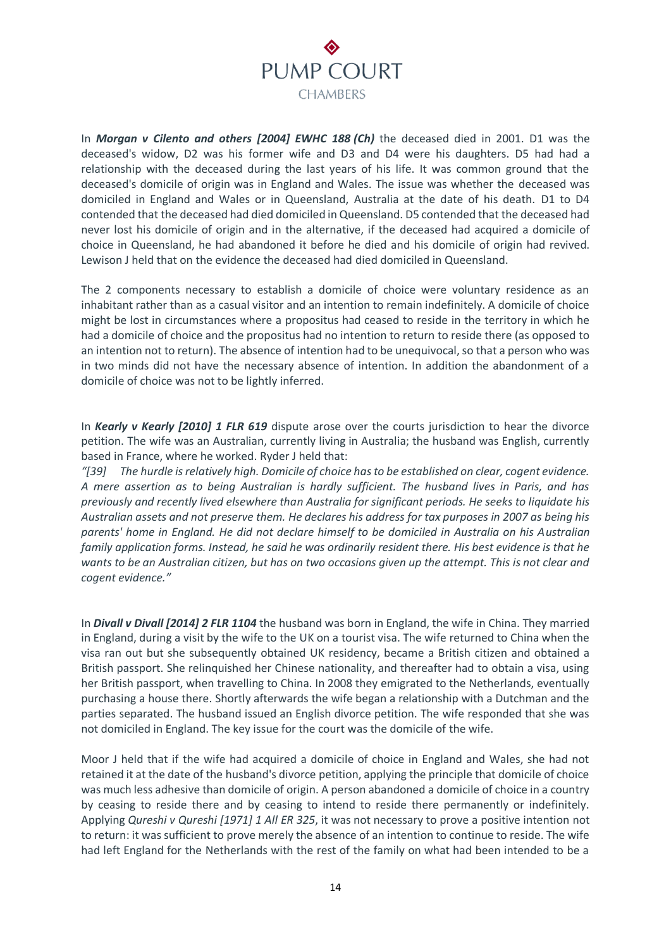

In *Morgan v Cilento and others [2004] EWHC 188 (Ch)* the deceased died in 2001. D1 was the deceased's widow, D2 was his former wife and D3 and D4 were his daughters. D5 had had a relationship with the deceased during the last years of his life. It was common ground that the deceased's domicile of origin was in England and Wales. The issue was whether the deceased was domiciled in England and Wales or in Queensland, Australia at the date of his death. D1 to D4 contended that the deceased had died domiciled in Queensland. D5 contended that the deceased had never lost his domicile of origin and in the alternative, if the deceased had acquired a domicile of choice in Queensland, he had abandoned it before he died and his domicile of origin had revived. Lewison J held that on the evidence the deceased had died domiciled in Queensland.

The 2 components necessary to establish a domicile of choice were voluntary residence as an inhabitant rather than as a casual visitor and an intention to remain indefinitely. A domicile of choice might be lost in circumstances where a propositus had ceased to reside in the territory in which he had a domicile of choice and the propositus had no intention to return to reside there (as opposed to an intention not to return). The absence of intention had to be unequivocal, so that a person who was in two minds did not have the necessary absence of intention. In addition the abandonment of a domicile of choice was not to be lightly inferred.

In *Kearly v Kearly [2010] 1 FLR 619* dispute arose over the courts jurisdiction to hear the divorce petition. The wife was an Australian, currently living in Australia; the husband was English, currently based in France, where he worked. Ryder J held that:

*"[39] The hurdle is relatively high. Domicile of choice has to be established on clear, cogent evidence. A mere assertion as to being Australian is hardly sufficient. The husband lives in Paris, and has previously and recently lived elsewhere than Australia for significant periods. He seeks to liquidate his Australian assets and not preserve them. He declares his address for tax purposes in 2007 as being his parents' home in England. He did not declare himself to be domiciled in Australia on his Australian family application forms. Instead, he said he was ordinarily resident there. His best evidence is that he wants to be an Australian citizen, but has on two occasions given up the attempt. This is not clear and cogent evidence."*

In *Divall v Divall [2014] 2 FLR 1104* the husband was born in England, the wife in China. They married in England, during a visit by the wife to the UK on a tourist visa. The wife returned to China when the visa ran out but she subsequently obtained UK residency, became a British citizen and obtained a British passport. She relinquished her Chinese nationality, and thereafter had to obtain a visa, using her British passport, when travelling to China. In 2008 they emigrated to the Netherlands, eventually purchasing a house there. Shortly afterwards the wife began a relationship with a Dutchman and the parties separated. The husband issued an English divorce petition. The wife responded that she was not domiciled in England. The key issue for the court was the domicile of the wife.

Moor J held that if the wife had acquired a domicile of choice in England and Wales, she had not retained it at the date of the husband's divorce petition, applying the principle that domicile of choice was much less adhesive than domicile of origin. A person abandoned a domicile of choice in a country by ceasing to reside there and by ceasing to intend to reside there permanently or indefinitely. Applying *Qureshi v Qureshi [1971] 1 All ER 325*, it was not necessary to prove a positive intention not to return: it was sufficient to prove merely the absence of an intention to continue to reside. The wife had left England for the Netherlands with the rest of the family on what had been intended to be a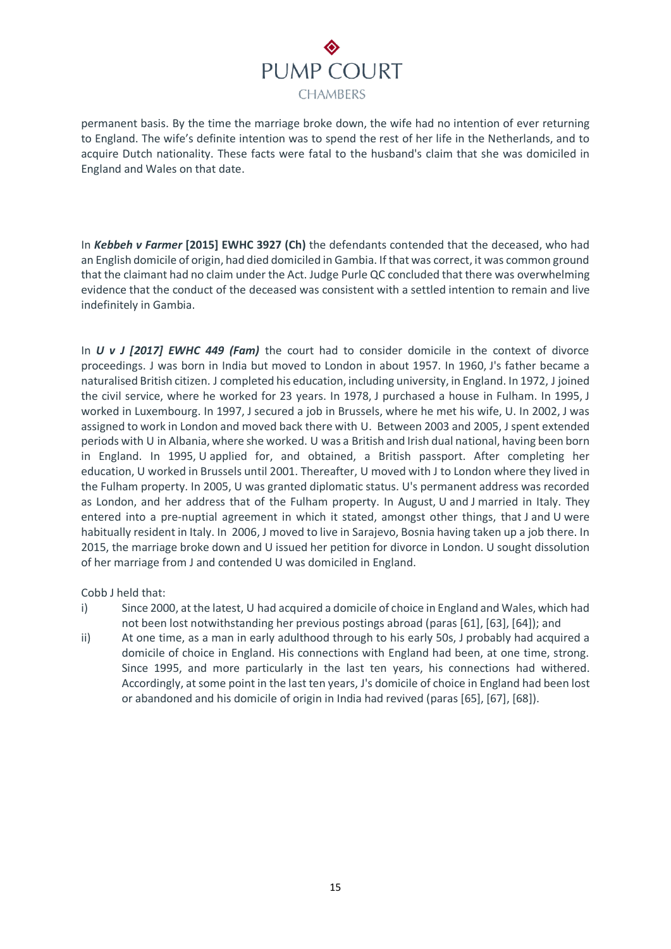# PUMP COURT **CHAMBERS**

permanent basis. By the time the marriage broke down, the wife had no intention of ever returning to England. The wife's definite intention was to spend the rest of her life in the Netherlands, and to acquire Dutch nationality. These facts were fatal to the husband's claim that she was domiciled in England and Wales on that date.

In *Kebbeh v Farmer* **[2015] EWHC 3927 (Ch)** the defendants contended that the deceased, who had an English domicile of origin, had died domiciled in Gambia. If that was correct, it was common ground that the claimant had no claim under the Act. Judge Purle QC concluded that there was overwhelming evidence that the conduct of the deceased was consistent with a settled intention to remain and live indefinitely in Gambia.

In *U v J [2017] EWHC 449 (Fam)* the court had to consider domicile in the context of divorce proceedings. J was born in India but moved to London in about 1957. In 1960, J's father became a naturalised British citizen. J completed his education, including university, in England. In 1972, J joined the civil service, where he worked for 23 years. In 1978, J purchased a house in Fulham. In 1995, J worked in Luxembourg. In 1997, J secured a job in Brussels, where he met his wife, U. In 2002, J was assigned to work in London and moved back there with U. Between 2003 and 2005, J spent extended periods with U in Albania, where she worked. U was a British and Irish dual national, having been born in England. In 1995, U applied for, and obtained, a British passport. After completing her education, U worked in Brussels until 2001. Thereafter, U moved with J to London where they lived in the Fulham property. In 2005, U was granted diplomatic status. U's permanent address was recorded as London, and her address that of the Fulham property. In August, U and J married in Italy. They entered into a pre-nuptial agreement in which it stated, amongst other things, that J and U were habitually resident in Italy. In 2006, J moved to live in Sarajevo, Bosnia having taken up a job there. In 2015, the marriage broke down and U issued her petition for divorce in London. U sought dissolution of her marriage from J and contended U was domiciled in England.

Cobb J held that:

- i) Since 2000, at the latest, U had acquired a domicile of choice in England and Wales, which had not been lost notwithstanding her previous postings abroad (paras [61], [63], [64]); and
- ii) At one time, as a man in early adulthood through to his early 50s, J probably had acquired a domicile of choice in England. His connections with England had been, at one time, strong. Since 1995, and more particularly in the last ten years, his connections had withered. Accordingly, at some point in the last ten years, J's domicile of choice in England had been lost or abandoned and his domicile of origin in India had revived (paras [65], [67], [68]).